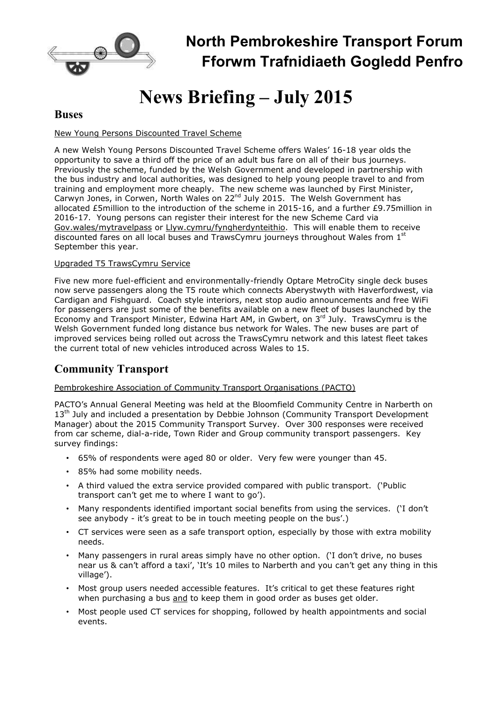

## **North Pembrokeshire Transport Forum Fforwm Trafnidiaeth Gogledd Penfro**

# **News Briefing – July 2015**

### **Buses**

#### New Young Persons Discounted Travel Scheme

A new Welsh Young Persons Discounted Travel Scheme offers Wales' 16-18 year olds the opportunity to save a third off the price of an adult bus fare on all of their bus journeys. Previously the scheme, funded by the Welsh Government and developed in partnership with the bus industry and local authorities, was designed to help young people travel to and from training and employment more cheaply. The new scheme was launched by First Minister, Carwyn Jones, in Corwen, North Wales on  $22^{nd}$  July 2015. The Welsh Government has allocated £5million to the introduction of the scheme in 2015-16, and a further £9.75million in 2016-17. Young persons can register their interest for the new Scheme Card via Gov.wales/mytravelpass or Llyw.cymru/fyngherdynteithio. This will enable them to receive discounted fares on all local buses and TrawsCymru journeys throughout Wales from  $1<sup>st</sup>$ September this year.

#### Upgraded T5 TrawsCymru Service

Five new more fuel-efficient and environmentally-friendly Optare MetroCity single deck buses now serve passengers along the T5 route which connects Aberystwyth with Haverfordwest, via Cardigan and Fishguard. Coach style interiors, next stop audio announcements and free WiFi for passengers are just some of the benefits available on a new fleet of buses launched by the Economy and Transport Minister, Edwina Hart AM, in Gwbert, on 3<sup>rd</sup> July. TrawsCymru is the Welsh Government funded long distance bus network for Wales. The new buses are part of improved services being rolled out across the TrawsCymru network and this latest fleet takes the current total of new vehicles introduced across Wales to 15.

## **Community Transport**

#### Pembrokeshire Association of Community Transport Organisations (PACTO)

PACTO's Annual General Meeting was held at the Bloomfield Community Centre in Narberth on 13<sup>th</sup> July and included a presentation by Debbie Johnson (Community Transport Development Manager) about the 2015 Community Transport Survey. Over 300 responses were received from car scheme, dial-a-ride, Town Rider and Group community transport passengers. Key survey findings:

- 65% of respondents were aged 80 or older. Very few were younger than 45.
- 85% had some mobility needs.
- A third valued the extra service provided compared with public transport. ('Public transport can't get me to where I want to go').
- Many respondents identified important social benefits from using the services. ('I don't see anybody - it's great to be in touch meeting people on the bus'.)
- CT services were seen as a safe transport option, especially by those with extra mobility needs.
- Many passengers in rural areas simply have no other option. ('I don't drive, no buses near us & can't afford a taxi', 'It's 10 miles to Narberth and you can't get any thing in this village').
- Most group users needed accessible features. It's critical to get these features right when purchasing a bus and to keep them in good order as buses get older.
- Most people used CT services for shopping, followed by health appointments and social events.